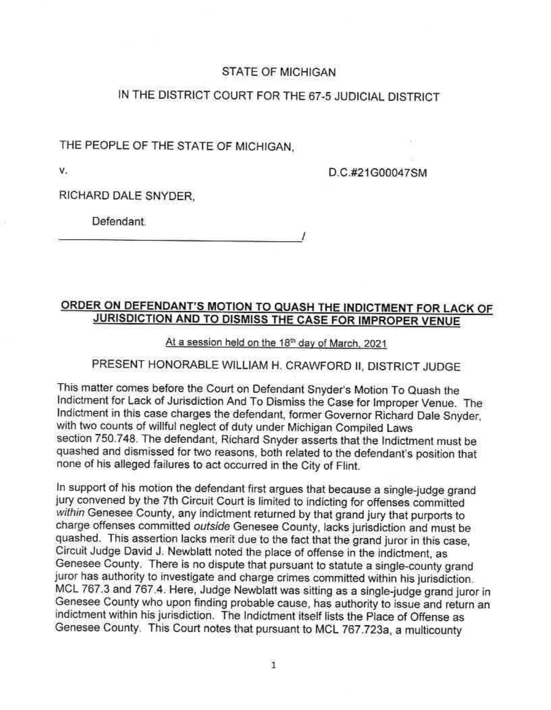### STATE OF MICHIGAN

# IN THE DISTRICT COURT FOR THE 67-5 JUDICIAL DISTRICT

THE PEOPLE OF THE STATE OF MICHIGAN,

V.

D.C.#21G00047SM

RICHARD DALE SNYDER,

 $\Box$  Defendant  $\Box$ 

## **O'RDER ON DEFENDANT'S MOTION TO QUASH THE INDICTMENT FOR LACK OF JURISDICTION AND TO DISMISS THE CASE FOR IMPROPER VENUE**

### At a session held on the 18<sup>th</sup> day of March, 2021

# PRESENT HONORABLE WILLIAM H. CRAWFORQ II, DISTRICT JUDGE

This matter comes before the Court on Defendant Snyder's Motion To Quash the Indictment for Lack of Jurisdiction And To Dismiss the Case for Improper Venue. The Indictment in this case charges the defendant, former Governor Richard Dale Snyder, with two counts of willful neglect of duty under Michigan Compiled Laws section 750.748. The defendant, Richard Snyder asserts that the Indictment must be quashed and dismissed for two reasons, both related to the defendant's position that none of his alieged failures to act occurred in the City of Flint.

In support of his motion the defendant first argues that because a single-judge grand jury convened by the 7th Circuit Court is limited to indicting for offenses committed within Genesee County, any indictment returned by that grand jury that purports to charge offenses committed outside Genesee County, lacks jurisdiction and must be quashed. This assertion lacks merit due to the fact that the grand juror in this case, Circuit Judge David J. Newblatt noted the place of offense in the indictment. as. Genesee County. There is no dispute that pursuant to statute a single-county grand juror has authority to investigate and charge crimes committed within his jurisdiction. MCL 767.3 and 767.4. Here, Judge Newblatt was sitting as a single-judge grand juror in Genesee County who upon finding probable cause, has authority to issue and return an indictment within his jurisdiction. The Indictment itself lists the Place of Offense as Genesee County. This Court notes that pursuant to MCL 767.723a, a multicounty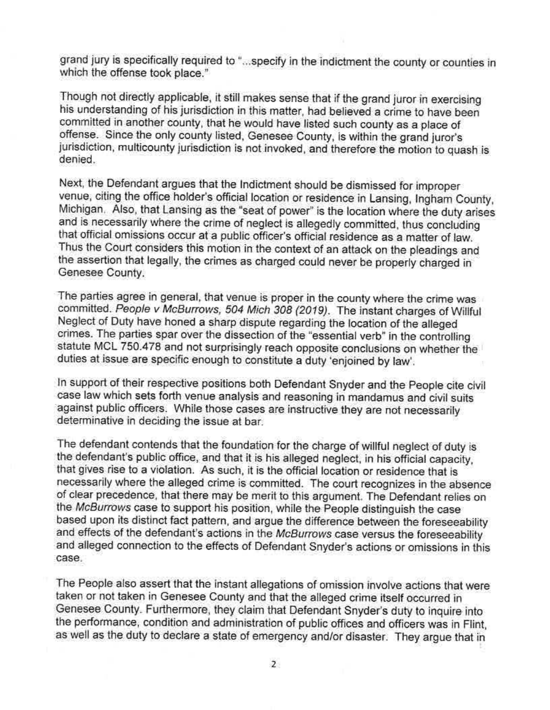grand jury is specifically required to " ... specify in the indictment the county or counties in which the offense took place."

Though not directly applicable, it still makes sense that if the grand juror in exercising his understanding of his jurisdiction in this matter, had believed a crime to have been committed in another county, that he would have listed such county as a place of offense. Since the only county listed, Genesee County, is within the grand juror's jurisdiction, multicounty jurisdiction is not invoked, and therefore the motion to quash is denied.

Next, the Defendant argues that the Indictment should be dismissed for improper venue, citing the office holder's official location or residence in Lansing, Ingham County, Michigan. Also, that Lansing as the "seat of power" is the location where the duty arises. and is necessarily where the crime of neglect is allegedly committed, thus concluding that official omissions occur at a public officer's official residence as a matter of law. Thus the Court considers this motion in the context of an attack on the pleadings and the assertion that legally, the crimes as charged could never be properly charged in Genesee County.

The parties agree in general, that venue is proper in the county where the crime was committed. People v McBurrows, 504 Mich 308 (2019). The Instant charges of Willful Neglect of Duty have honed a sharp dispute regarding the location of the alleged crimes. The parties spar over the dissection of the "essential verb" in the controlling statute MCL 750.478 and not surprisingly reach opposite conclusions on whether the duties at issue are specific enough to constitute a duty 'enjoined by law'.

In support of their respective positions both Defendant Snyder and the People cite civil case law which sets forth venue analysis and reasoning in mandamus and civil suits against public officers. While those cases are instructive they are not necessarily determinative in deciding the issue at bar.

The defendant contends that the foundation for the charge of willful neglect of duty is the defendant's public office, and that it is his alleged neglect, in his official capacity, that gives rise to a violation. As such, it is the official location or residence that is necessarily where the alleged crime is committed. The court recognizes in the absence of clear precedence, that there may be merit to this argument. The Defendant relies on the McBurrows case to support his position, while the People distinguish the case based upon its distinct fact pattern, and argue the difference between the foreseeability and effects of the defendant's actions in the McBurrows case versus the foreseeability and alleged connection to the effects of Defendant Snyder's actions or omissions in this case.

The People also assert that the instant allegations of omission involve actions that were taken or not taken in Genesee County and that the alleged crime itself occurred in Genesee County. Furthermore, they claim that Defendant Snyder's duty to inquire into the performance, condition and administration of public offices and officers was in Flint, as well as the duty to declare a state of emergency and/or disaster. They argue that in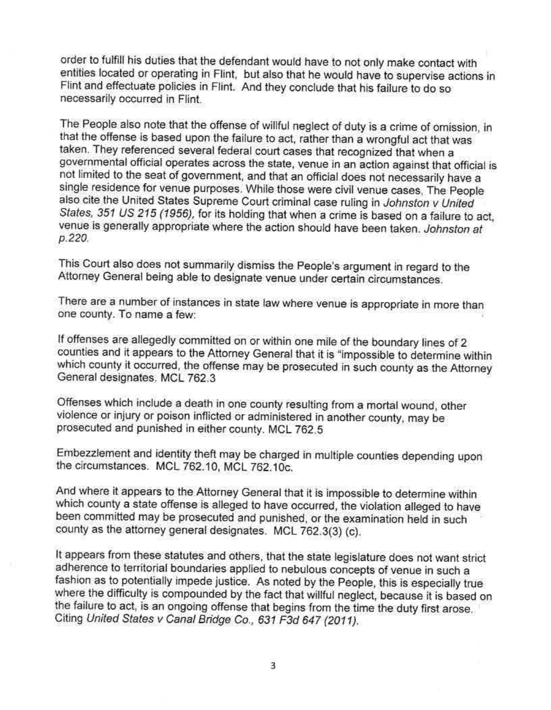order to fulfill his duties that the defendant would have to not only make contact with entities located or operating in Flint, but also that he would have to supervise actions in Flint and effectuate policies in Flint. And they conclude that his failure to do so necessarily occurred in Flint.

The People also note that the offense of willful neglect of duty is a crime of omission, in that the offense is based upon the failure to act, rather than a wrongful act that was taken. They referenced several federal court cases that recognized that when a governmental official operates across the state, venue in an action against that official is not limited to the seat of government, and that an official does not necessarily have a single resjdehce for venue purposes. Whife those were civil venue cases, The People also cite the United States Supreme Court criminal case ruling in Johnston v United States, 351 US 215 (1956), for its holding that when a crime is based on a failure to act, venue is generally appropriate where the action should have been taken. Johnston at p.220.

This Court also does not summarily dismiss the People's argument in regard to the Attorney General being able to designate venue under certain circumstances.

There are a number of instances in state law where venue is appropriate in more than one county. To name a few: •

If offenses are allegedly committed on or within one mile of the boundary lines of 2 counties and it appears to the Attorney General that it is "impossible to determine within which county it occurred, the offense may be prosecuted in such county as the Attorney General designates, MCL 762.3

Offenses which include a death in one county resulting from a mortal wound, other violence or injury or poison inflicted or administered in another county, may be prosecuted and punished in either county. MCL 762.5

Embezzlement and identity theft may be charged in multiple counties depending upon the circumstances. MCL 762.10, MCL 762.10c.

And where it appears to the Attorney General that it is impossible to determine within which county a state offense is alleged to have occurred, the violation alleged to have been committed may be prosecuted and punished, or the examination neld in such county as the attorney general designates. MCL 762.3(3) (c).

It appears from these statutes and others, that the state legislature does not want strict .adherence to territorial boundaries applied to nebulous concepts of venue in such a fashion as to potentially impede justice. As noted by the People, this is especially true where the difficulty is compounded by the fact that willful neglect, because it is based on the failure to act, is an ongoing offense that begins from the time the duty first arose. Citing United States v Canal Bridge Co., 631 F3d 647 (2011).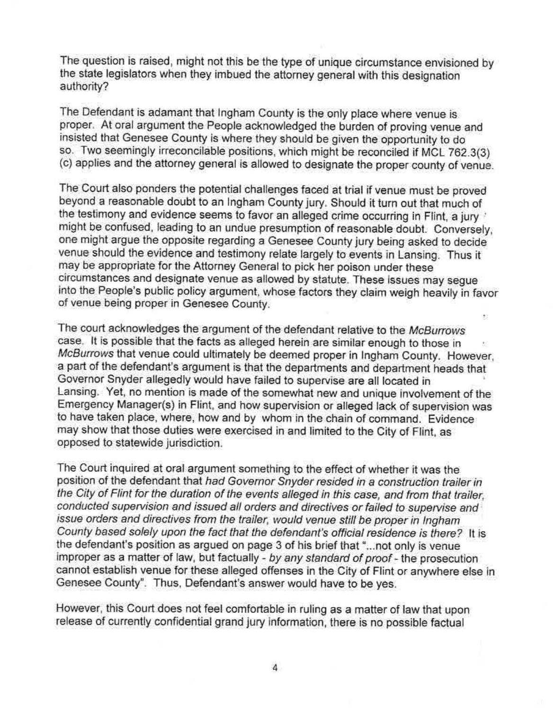The question is raised, might not this be the type of unique circumstance envisioned by the state legislators when they imbued the attorney general with this designation authority?

The Defendant is adamant that Ingham County is the only place where venue is proper. At oral argument the People acknowledged the burden of proving venue and insisted that Genesee County is where they should be given the opportunity to do so. Two seemingly irreconcilable positions, which might be reconciled if MCL 762.3(3) (c) applies and the attorney general is allowed to designate the proper county of venue.

The Court also ponders the potential challenges faced at trial if venue must be proved beyond a reasonable doubt to an Ingham County jury. Should it turn out that much of the testimony and evidence seems to favor an alleged crime occurring in Flint, a jury ' might be confused, leading to an undue presumption of reasonable doubt. Conversely, one might argue the opposite regarding a Genesee County jury being asked to decide venue should the evidence and testimony relate largely to events in Lansing. Thus it may be appropriate for the Attorney General to pick her poison under these circumstances and designate venue as allowed by statute. These Issues may segue into the People's public policy argument, whose factors they claim weigh heavily in favor of venue being proper in G\_enesee County.

The court acknowledges the argument of the defendant relative to the McBurrows case. It is possible that the facts as alleged herein are similar enough to those in McBurrows that venue could ultimately be deemed proper in Ingham County. However, a part of the defendant's argument is that the departments and department heads that Governor Snyder allegedly would have failed to supervise are all located in ' Lansing. Yet, no mention is made of the somewhat new and unique involvement of the Emergency Manager(s) in Flint, and how supervision or alleged lack of supervision was to have taken place, where, how and by whom in the chain of command. Evidence may show that those duties were exercised in and limited to the City of Flint, as opposed to statewide jurisdiction.

The Court inquired at oral argument something to the effect of whether it was the position of the defendant that had Governor Snyder resided in a construction trailer in the City of Flint for the duration of the events alleged in this case, and from that trailer, conducted supervision and issued all orders and directives or failed to supervise and issue orders and directives from the trailer, would venue still be proper in Ingham County based solely upon the fact that the defendant's official residence is there? It is the defendant's position as argued on page 3 of his brief that "... not only is venue improper as a matter of law, but factually - by any standard of proof - the prosecution cannot establish venue for these alleged offenses in the City of Flint or anywhere else in Genesee County". Thus, Defendant's answer would have to be yes.

However, this Court does not feel comfortable in ruling as a matter of law that upon release of currently confidential grand jury information, there is no possible factual